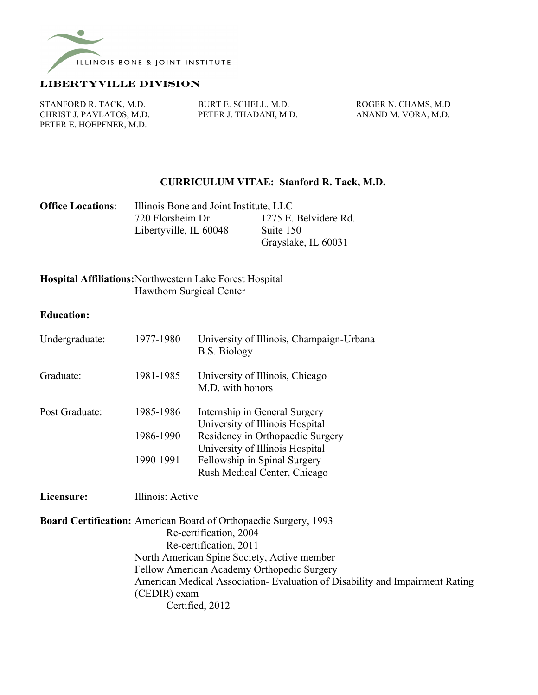

#### **Libertyville division**

PETER E. HOEPFNER, M.D.

STANFORD R. TACK, M.D. BURT E. SCHELL, M.D. ROGER N. CHAMS, M.D. CHRIST J. PAVLATOS, M.D. PETER J. THADANI, M.D. ANAND M. VORA, M.D.

### **CURRICULUM VITAE: Stanford R. Tack, M.D.**

| <b>Office Locations:</b> | Illinois Bone and Joint Institute, LLC |                       |  |
|--------------------------|----------------------------------------|-----------------------|--|
|                          | 720 Florsheim Dr.                      | 1275 E. Belvidere Rd. |  |
|                          | Libertyville, IL 60048                 | Suite 150             |  |
|                          |                                        | Grayslake, IL 60031   |  |

## **Hospital Affiliations:**Northwestern Lake Forest Hospital Hawthorn Surgical Center

#### **Education:**

| Undergraduate: | 1977-1980 | University of Illinois, Champaign-Urbana<br><b>B.S. Biology</b>         |  |  |
|----------------|-----------|-------------------------------------------------------------------------|--|--|
| Graduate:      | 1981-1985 | University of Illinois, Chicago<br>M.D. with honors                     |  |  |
| Post Graduate: | 1985-1986 | Internship in General Surgery<br>University of Illinois Hospital        |  |  |
|                | 1986-1990 | Residency in Orthopaedic Surgery<br>University of Illinois Hospital     |  |  |
|                | 1990-1991 | Fellowship in Spinal Surgery<br>Rush Medical Center, Chicago            |  |  |
| Licensure:     |           | Illinois: Active                                                        |  |  |
|                |           | <b>Board Certification:</b> American Board of Orthopaedic Surgery, 1993 |  |  |

Re-certification, 2004 Re-certification, 2011 North American Spine Society, Active member Fellow American Academy Orthopedic Surgery American Medical Association- Evaluation of Disability and Impairment Rating (CEDIR) exam Certified, 2012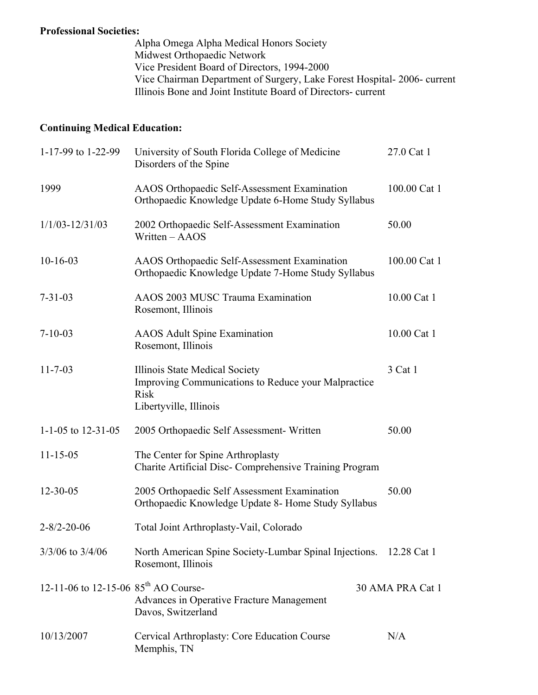## **Professional Societies:**

Alpha Omega Alpha Medical Honors Society Midwest Orthopaedic Network Vice President Board of Directors, 1994-2000 Vice Chairman Department of Surgery, Lake Forest Hospital- 2006- current Illinois Bone and Joint Institute Board of Directors- current

# **Continuing Medical Education:**

| 1-17-99 to 1-22-99                               | University of South Florida College of Medicine<br>Disorders of the Spine                                                      | 27.0 Cat 1       |
|--------------------------------------------------|--------------------------------------------------------------------------------------------------------------------------------|------------------|
| 1999                                             | AAOS Orthopaedic Self-Assessment Examination<br>Orthopaedic Knowledge Update 6-Home Study Syllabus                             | 100.00 Cat 1     |
| $1/1/03 - 12/31/03$                              | 2002 Orthopaedic Self-Assessment Examination<br>Written - AAOS                                                                 | 50.00            |
| $10-16-03$                                       | AAOS Orthopaedic Self-Assessment Examination<br>Orthopaedic Knowledge Update 7-Home Study Syllabus                             | 100.00 Cat 1     |
| $7 - 31 - 03$                                    | AAOS 2003 MUSC Trauma Examination<br>Rosemont, Illinois                                                                        | 10.00 Cat 1      |
| $7 - 10 - 03$                                    | <b>AAOS</b> Adult Spine Examination<br>Rosemont, Illinois                                                                      | 10.00 Cat 1      |
| $11 - 7 - 03$                                    | Illinois State Medical Society<br>Improving Communications to Reduce your Malpractice<br><b>Risk</b><br>Libertyville, Illinois | 3 Cat 1          |
| 1-1-05 to 12-31-05                               | 2005 Orthopaedic Self Assessment- Written                                                                                      | 50.00            |
| $11 - 15 - 05$                                   | The Center for Spine Arthroplasty<br>Charite Artificial Disc-Comprehensive Training Program                                    |                  |
| $12 - 30 - 05$                                   | 2005 Orthopaedic Self Assessment Examination<br>Orthopaedic Knowledge Update 8- Home Study Syllabus                            | 50.00            |
| $2 - 8/2 - 20 - 06$                              | Total Joint Arthroplasty-Vail, Colorado                                                                                        |                  |
| $3/3/06$ to $3/4/06$                             | North American Spine Society-Lumbar Spinal Injections. 12.28 Cat 1<br>Rosemont, Illinois                                       |                  |
| 12-11-06 to 12-15-06 $85^{\text{th}}$ AO Course- | Advances in Operative Fracture Management<br>Davos, Switzerland                                                                | 30 AMA PRA Cat 1 |
| 10/13/2007                                       | Cervical Arthroplasty: Core Education Course<br>Memphis, TN                                                                    | N/A              |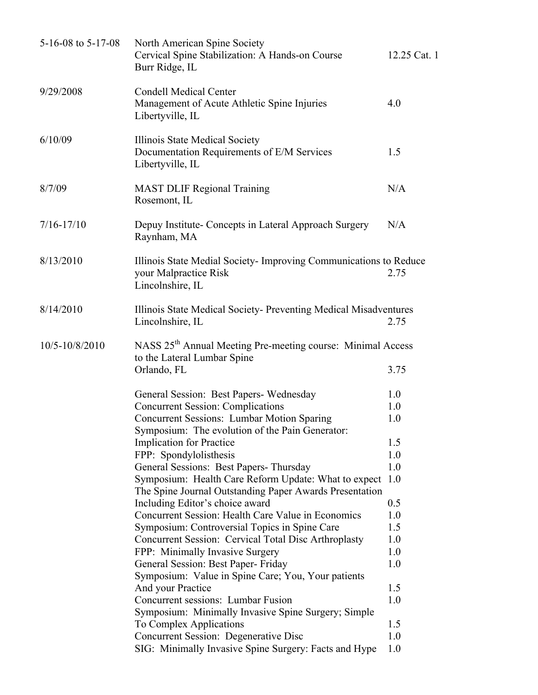| 5-16-08 to 5-17-08 | North American Spine Society<br>Cervical Spine Stabilization: A Hands-on Course<br>Burr Ridge, IL                      | 12.25 Cat. 1 |  |
|--------------------|------------------------------------------------------------------------------------------------------------------------|--------------|--|
| 9/29/2008          | <b>Condell Medical Center</b><br>Management of Acute Athletic Spine Injuries<br>Libertyville, IL                       | 4.0          |  |
| 6/10/09            | Illinois State Medical Society<br>Documentation Requirements of E/M Services<br>Libertyville, IL                       | 1.5          |  |
| 8/7/09             | <b>MAST DLIF Regional Training</b><br>Rosemont, IL                                                                     | N/A          |  |
| $7/16 - 17/10$     | Depuy Institute- Concepts in Lateral Approach Surgery<br>Raynham, MA                                                   | N/A          |  |
| 8/13/2010          | Illinois State Medial Society- Improving Communications to Reduce<br>your Malpractice Risk<br>2.75<br>Lincolnshire, IL |              |  |
| 8/14/2010          | Illinois State Medical Society- Preventing Medical Misadventures<br>Lincolnshire, IL                                   | 2.75         |  |
| 10/5-10/8/2010     | NASS 25 <sup>th</sup> Annual Meeting Pre-meeting course: Minimal Access<br>to the Lateral Lumbar Spine                 |              |  |
|                    | Orlando, FL                                                                                                            | 3.75         |  |
|                    | General Session: Best Papers-Wednesday                                                                                 | 1.0          |  |
|                    | <b>Concurrent Session: Complications</b>                                                                               | 1.0          |  |
|                    | <b>Concurrent Sessions: Lumbar Motion Sparing</b>                                                                      | 1.0          |  |
|                    | Symposium: The evolution of the Pain Generator:                                                                        |              |  |
|                    | <b>Implication for Practice</b>                                                                                        | 1.5          |  |
|                    | FPP: Spondylolisthesis                                                                                                 | 1.0          |  |
|                    | General Sessions: Best Papers-Thursday                                                                                 | 1.0          |  |
|                    | Symposium: Health Care Reform Update: What to expect 1.0                                                               |              |  |
|                    | The Spine Journal Outstanding Paper Awards Presentation                                                                |              |  |
|                    | Including Editor's choice award                                                                                        | 0.5          |  |
|                    | Concurrent Session: Health Care Value in Economics                                                                     | 1.0          |  |
|                    | Symposium: Controversial Topics in Spine Care                                                                          | 1.5          |  |
|                    | Concurrent Session: Cervical Total Disc Arthroplasty                                                                   | 1.0          |  |
|                    | FPP: Minimally Invasive Surgery                                                                                        | 1.0          |  |
|                    | General Session: Best Paper- Friday                                                                                    | 1.0          |  |
|                    | Symposium: Value in Spine Care; You, Your patients                                                                     |              |  |
|                    | And your Practice                                                                                                      | 1.5          |  |
|                    | Concurrent sessions: Lumbar Fusion<br>Symposium: Minimally Invasive Spine Surgery; Simple                              | 1.0          |  |
|                    | To Complex Applications                                                                                                | 1.5          |  |
|                    | Concurrent Session: Degenerative Disc                                                                                  | 1.0          |  |
|                    | SIG: Minimally Invasive Spine Surgery: Facts and Hype                                                                  | 1.0          |  |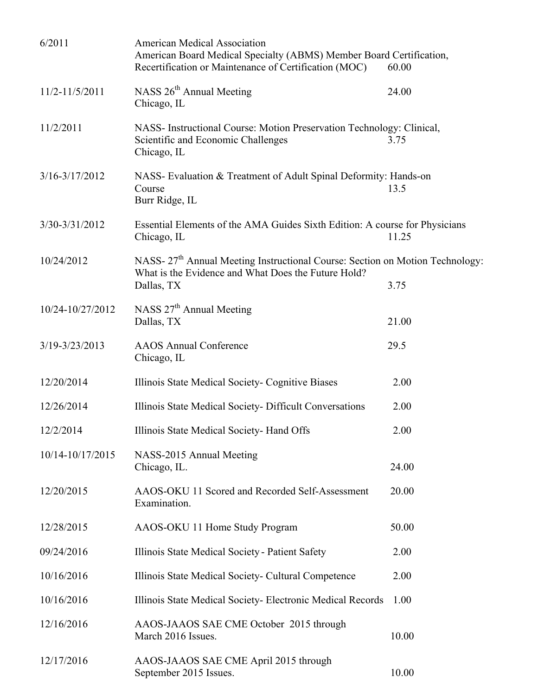| 6/2011           | <b>American Medical Association</b><br>American Board Medical Specialty (ABMS) Member Board Certification,<br>Recertification or Maintenance of Certification (MOC) | 60.00 |  |
|------------------|---------------------------------------------------------------------------------------------------------------------------------------------------------------------|-------|--|
| 11/2-11/5/2011   | NASS 26 <sup>th</sup> Annual Meeting<br>Chicago, IL                                                                                                                 | 24.00 |  |
| 11/2/2011        | NASS- Instructional Course: Motion Preservation Technology: Clinical,<br>Scientific and Economic Challenges<br>Chicago, IL                                          | 3.75  |  |
| 3/16-3/17/2012   | NASS- Evaluation & Treatment of Adult Spinal Deformity: Hands-on<br>Course<br>Burr Ridge, IL                                                                        | 13.5  |  |
| 3/30-3/31/2012   | Essential Elements of the AMA Guides Sixth Edition: A course for Physicians<br>Chicago, IL<br>11.25                                                                 |       |  |
| 10/24/2012       | NASS- 27 <sup>th</sup> Annual Meeting Instructional Course: Section on Motion Technology:<br>What is the Evidence and What Does the Future Hold?<br>Dallas, TX      | 3.75  |  |
| 10/24-10/27/2012 | NASS 27 <sup>th</sup> Annual Meeting<br>Dallas, TX                                                                                                                  | 21.00 |  |
| 3/19-3/23/2013   | <b>AAOS</b> Annual Conference<br>Chicago, IL                                                                                                                        | 29.5  |  |
| 12/20/2014       | Illinois State Medical Society- Cognitive Biases                                                                                                                    | 2.00  |  |
| 12/26/2014       | Illinois State Medical Society- Difficult Conversations                                                                                                             | 2.00  |  |
| 12/2/2014        | Illinois State Medical Society- Hand Offs                                                                                                                           | 2.00  |  |
| 10/14-10/17/2015 | NASS-2015 Annual Meeting<br>Chicago, IL.                                                                                                                            | 24.00 |  |
| 12/20/2015       | AAOS-OKU 11 Scored and Recorded Self-Assessment<br>Examination.                                                                                                     | 20.00 |  |
| 12/28/2015       | AAOS-OKU 11 Home Study Program                                                                                                                                      | 50.00 |  |
| 09/24/2016       | Illinois State Medical Society - Patient Safety                                                                                                                     | 2.00  |  |
| 10/16/2016       | Illinois State Medical Society- Cultural Competence                                                                                                                 | 2.00  |  |
| 10/16/2016       | Illinois State Medical Society-Electronic Medical Records                                                                                                           | 1.00  |  |
| 12/16/2016       | AAOS-JAAOS SAE CME October 2015 through<br>March 2016 Issues.                                                                                                       | 10.00 |  |
| 12/17/2016       | AAOS-JAAOS SAE CME April 2015 through<br>September 2015 Issues.                                                                                                     | 10.00 |  |